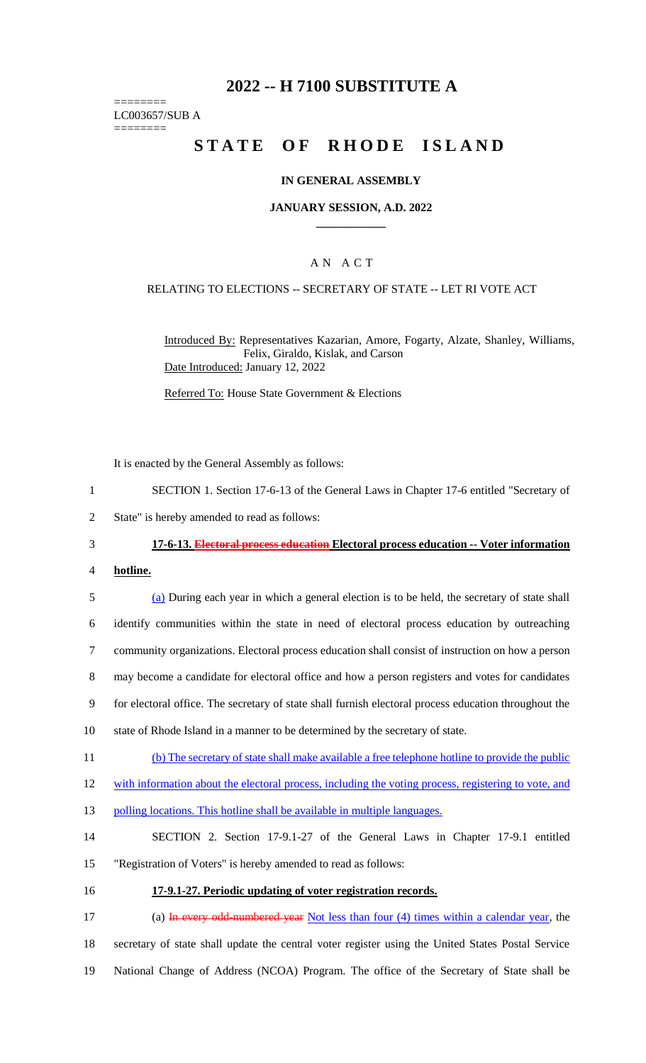# **2022 -- H 7100 SUBSTITUTE A**

======== LC003657/SUB A

========

# **STATE OF RHODE ISLAND**

#### **IN GENERAL ASSEMBLY**

#### **JANUARY SESSION, A.D. 2022 \_\_\_\_\_\_\_\_\_\_\_\_**

# A N A C T

#### RELATING TO ELECTIONS -- SECRETARY OF STATE -- LET RI VOTE ACT

Introduced By: Representatives Kazarian, Amore, Fogarty, Alzate, Shanley, Williams, Felix, Giraldo, Kislak, and Carson Date Introduced: January 12, 2022

Referred To: House State Government & Elections

It is enacted by the General Assembly as follows:

- 1 SECTION 1. Section 17-6-13 of the General Laws in Chapter 17-6 entitled "Secretary of
- 2 State" is hereby amended to read as follows:
- 3 **17-6-13. Electoral process education Electoral process education -- Voter information**
- 4 **hotline.**
- 5 (a) During each year in which a general election is to be held, the secretary of state shall 6 identify communities within the state in need of electoral process education by outreaching 7 community organizations. Electoral process education shall consist of instruction on how a person 8 may become a candidate for electoral office and how a person registers and votes for candidates 9 for electoral office. The secretary of state shall furnish electoral process education throughout the
- 10 state of Rhode Island in a manner to be determined by the secretary of state.
- 11 (b) The secretary of state shall make available a free telephone hotline to provide the public
- 12 with information about the electoral process, including the voting process, registering to vote, and
- 13 polling locations. This hotline shall be available in multiple languages.
- 14 SECTION 2. Section 17-9.1-27 of the General Laws in Chapter 17-9.1 entitled
- 15 "Registration of Voters" is hereby amended to read as follows:
- 16 **17-9.1-27. Periodic updating of voter registration records.**

17 (a) In every odd-numbered year Not less than four (4) times within a calendar year, the 18 secretary of state shall update the central voter register using the United States Postal Service 19 National Change of Address (NCOA) Program. The office of the Secretary of State shall be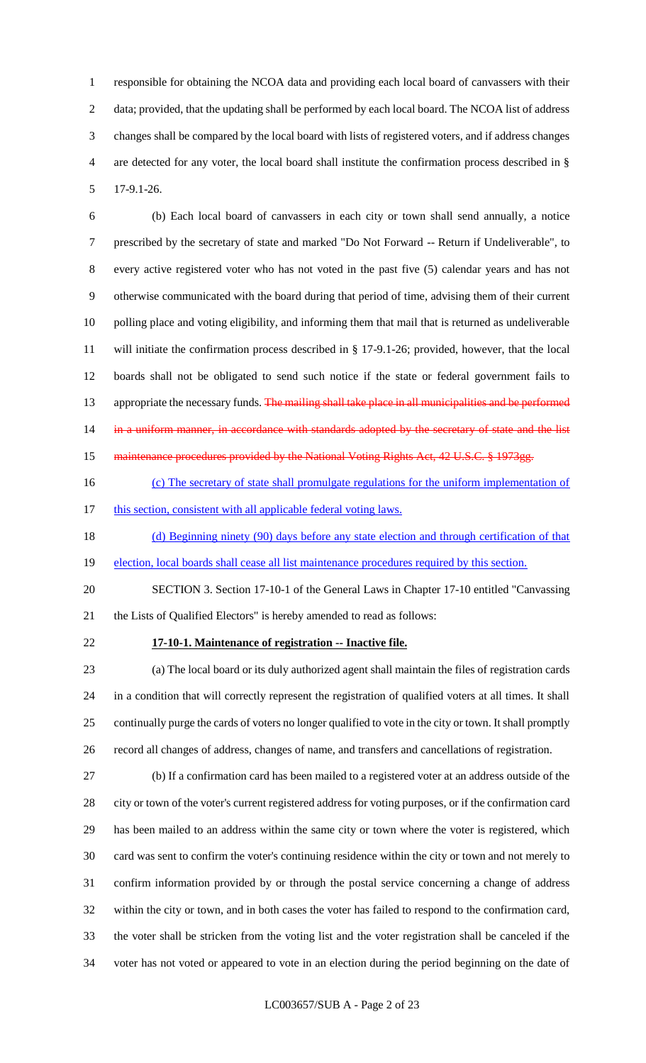responsible for obtaining the NCOA data and providing each local board of canvassers with their data; provided, that the updating shall be performed by each local board. The NCOA list of address changes shall be compared by the local board with lists of registered voters, and if address changes are detected for any voter, the local board shall institute the confirmation process described in § 17-9.1-26.

 (b) Each local board of canvassers in each city or town shall send annually, a notice prescribed by the secretary of state and marked "Do Not Forward -- Return if Undeliverable", to every active registered voter who has not voted in the past five (5) calendar years and has not otherwise communicated with the board during that period of time, advising them of their current polling place and voting eligibility, and informing them that mail that is returned as undeliverable will initiate the confirmation process described in § 17-9.1-26; provided, however, that the local boards shall not be obligated to send such notice if the state or federal government fails to 13 appropriate the necessary funds. The mailing shall take place in all municipalities and be performed 14 in a uniform manner, in accordance with standards adopted by the secretary of state and the list 15 maintenance procedures provided by the National Voting Rights Act, 42 U.S.C. § 1973gg.

- 16 (c) The secretary of state shall promulgate regulations for the uniform implementation of
- 17 this section, consistent with all applicable federal voting laws.
- 18 (d) Beginning ninety (90) days before any state election and through certification of that
- 19 election, local boards shall cease all list maintenance procedures required by this section.
- SECTION 3. Section 17-10-1 of the General Laws in Chapter 17-10 entitled "Canvassing the Lists of Qualified Electors" is hereby amended to read as follows:

### **17-10-1. Maintenance of registration -- Inactive file.**

 (a) The local board or its duly authorized agent shall maintain the files of registration cards in a condition that will correctly represent the registration of qualified voters at all times. It shall continually purge the cards of voters no longer qualified to vote in the city or town. It shall promptly record all changes of address, changes of name, and transfers and cancellations of registration.

 (b) If a confirmation card has been mailed to a registered voter at an address outside of the city or town of the voter's current registered address for voting purposes, or if the confirmation card has been mailed to an address within the same city or town where the voter is registered, which card was sent to confirm the voter's continuing residence within the city or town and not merely to confirm information provided by or through the postal service concerning a change of address within the city or town, and in both cases the voter has failed to respond to the confirmation card, the voter shall be stricken from the voting list and the voter registration shall be canceled if the voter has not voted or appeared to vote in an election during the period beginning on the date of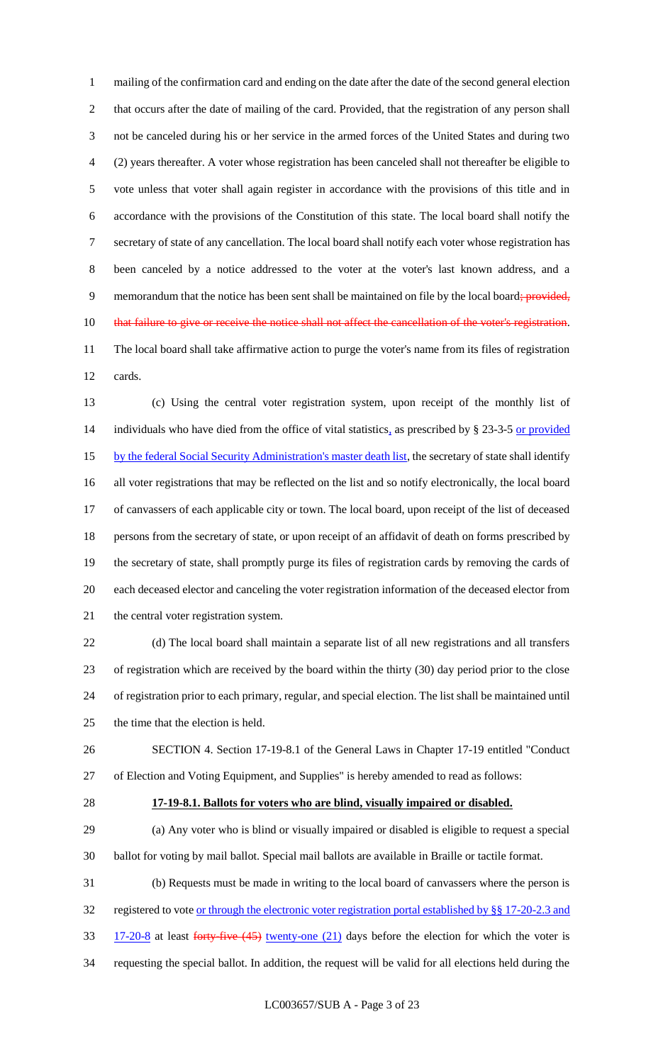mailing of the confirmation card and ending on the date after the date of the second general election that occurs after the date of mailing of the card. Provided, that the registration of any person shall not be canceled during his or her service in the armed forces of the United States and during two (2) years thereafter. A voter whose registration has been canceled shall not thereafter be eligible to vote unless that voter shall again register in accordance with the provisions of this title and in accordance with the provisions of the Constitution of this state. The local board shall notify the secretary of state of any cancellation. The local board shall notify each voter whose registration has been canceled by a notice addressed to the voter at the voter's last known address, and a 9 memorandum that the notice has been sent shall be maintained on file by the local board; provided, 10 that failure to give or receive the notice shall not affect the cancellation of the voter's registration. The local board shall take affirmative action to purge the voter's name from its files of registration cards.

 (c) Using the central voter registration system, upon receipt of the monthly list of 14 individuals who have died from the office of vital statistics, as prescribed by § 23-3-5 or provided 15 by the federal Social Security Administration's master death list, the secretary of state shall identify all voter registrations that may be reflected on the list and so notify electronically, the local board of canvassers of each applicable city or town. The local board, upon receipt of the list of deceased persons from the secretary of state, or upon receipt of an affidavit of death on forms prescribed by the secretary of state, shall promptly purge its files of registration cards by removing the cards of each deceased elector and canceling the voter registration information of the deceased elector from the central voter registration system.

 (d) The local board shall maintain a separate list of all new registrations and all transfers of registration which are received by the board within the thirty (30) day period prior to the close of registration prior to each primary, regular, and special election. The list shall be maintained until the time that the election is held.

 SECTION 4. Section 17-19-8.1 of the General Laws in Chapter 17-19 entitled "Conduct of Election and Voting Equipment, and Supplies" is hereby amended to read as follows:

#### **17-19-8.1. Ballots for voters who are blind, visually impaired or disabled.**

 (a) Any voter who is blind or visually impaired or disabled is eligible to request a special ballot for voting by mail ballot. Special mail ballots are available in Braille or tactile format.

(b) Requests must be made in writing to the local board of canvassers where the person is

32 registered to vote <u>or through the electronic voter registration portal established by §§ 17-20-2.3 and</u>

33 17-20-8 at least forty-five (45) twenty-one (21) days before the election for which the voter is

requesting the special ballot. In addition, the request will be valid for all elections held during the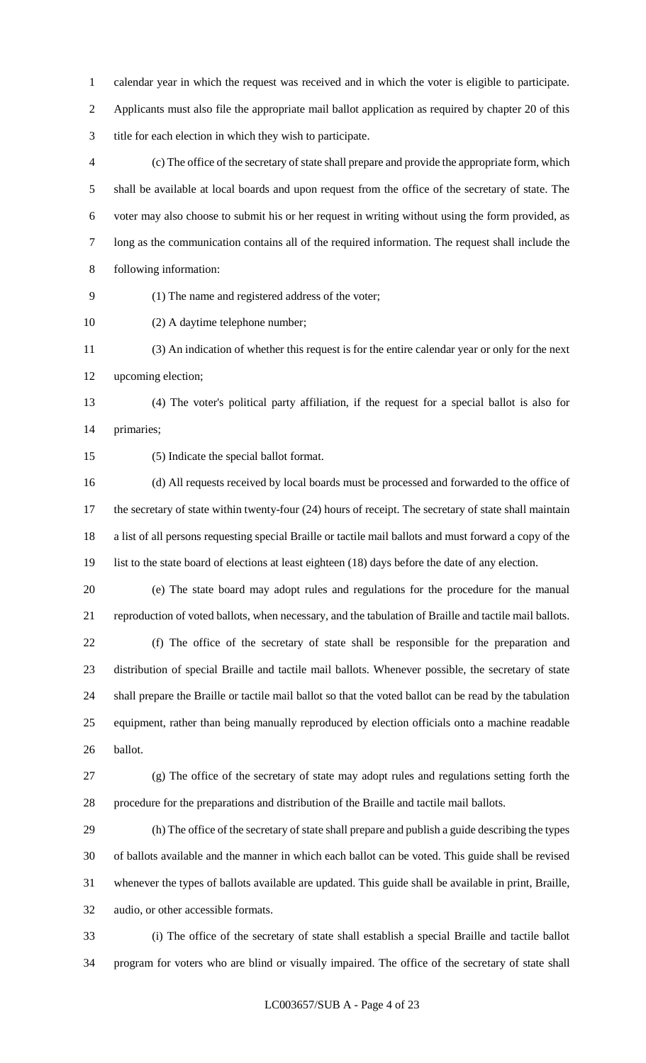calendar year in which the request was received and in which the voter is eligible to participate. Applicants must also file the appropriate mail ballot application as required by chapter 20 of this title for each election in which they wish to participate.

 (c) The office of the secretary of state shall prepare and provide the appropriate form, which shall be available at local boards and upon request from the office of the secretary of state. The voter may also choose to submit his or her request in writing without using the form provided, as long as the communication contains all of the required information. The request shall include the following information:

(1) The name and registered address of the voter;

(2) A daytime telephone number;

 (3) An indication of whether this request is for the entire calendar year or only for the next upcoming election;

 (4) The voter's political party affiliation, if the request for a special ballot is also for primaries;

(5) Indicate the special ballot format.

 (d) All requests received by local boards must be processed and forwarded to the office of 17 the secretary of state within twenty-four (24) hours of receipt. The secretary of state shall maintain a list of all persons requesting special Braille or tactile mail ballots and must forward a copy of the list to the state board of elections at least eighteen (18) days before the date of any election.

 (e) The state board may adopt rules and regulations for the procedure for the manual reproduction of voted ballots, when necessary, and the tabulation of Braille and tactile mail ballots.

 (f) The office of the secretary of state shall be responsible for the preparation and distribution of special Braille and tactile mail ballots. Whenever possible, the secretary of state shall prepare the Braille or tactile mail ballot so that the voted ballot can be read by the tabulation equipment, rather than being manually reproduced by election officials onto a machine readable ballot.

 (g) The office of the secretary of state may adopt rules and regulations setting forth the procedure for the preparations and distribution of the Braille and tactile mail ballots.

 (h) The office of the secretary of state shall prepare and publish a guide describing the types of ballots available and the manner in which each ballot can be voted. This guide shall be revised whenever the types of ballots available are updated. This guide shall be available in print, Braille, audio, or other accessible formats.

 (i) The office of the secretary of state shall establish a special Braille and tactile ballot program for voters who are blind or visually impaired. The office of the secretary of state shall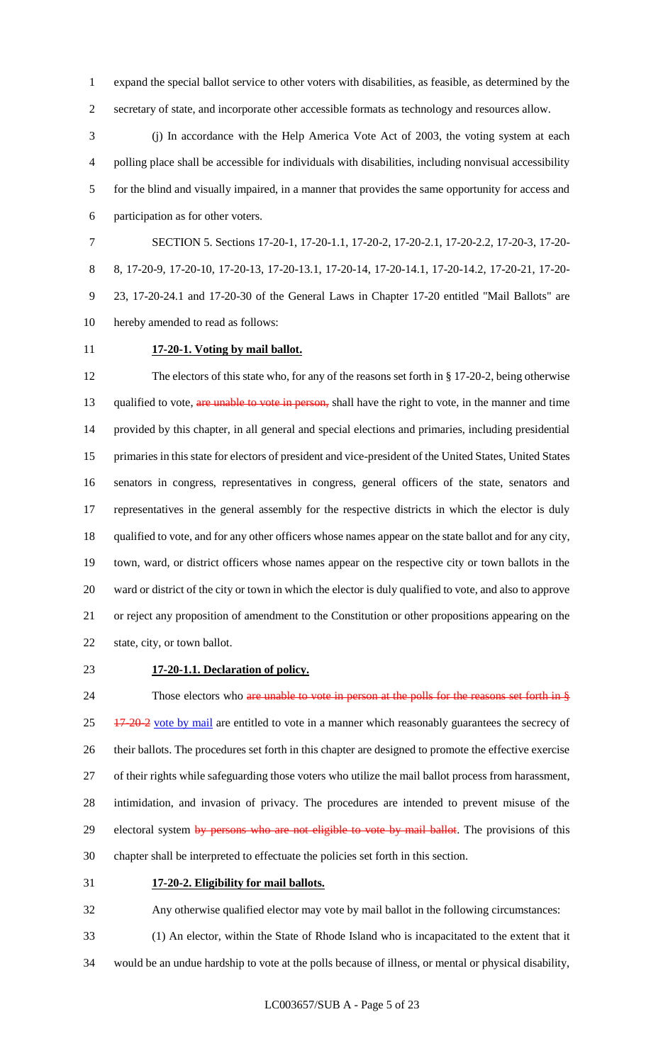expand the special ballot service to other voters with disabilities, as feasible, as determined by the secretary of state, and incorporate other accessible formats as technology and resources allow.

 (j) In accordance with the Help America Vote Act of 2003, the voting system at each polling place shall be accessible for individuals with disabilities, including nonvisual accessibility for the blind and visually impaired, in a manner that provides the same opportunity for access and participation as for other voters.

 SECTION 5. Sections 17-20-1, 17-20-1.1, 17-20-2, 17-20-2.1, 17-20-2.2, 17-20-3, 17-20- 8, 17-20-9, 17-20-10, 17-20-13, 17-20-13.1, 17-20-14, 17-20-14.1, 17-20-14.2, 17-20-21, 17-20- 23, 17-20-24.1 and 17-20-30 of the General Laws in Chapter 17-20 entitled "Mail Ballots" are hereby amended to read as follows:

# **17-20-1. Voting by mail ballot.**

 The electors of this state who, for any of the reasons set forth in § 17-20-2, being otherwise 13 qualified to vote, are unable to vote in person, shall have the right to vote, in the manner and time provided by this chapter, in all general and special elections and primaries, including presidential primaries in this state for electors of president and vice-president of the United States, United States senators in congress, representatives in congress, general officers of the state, senators and representatives in the general assembly for the respective districts in which the elector is duly 18 qualified to vote, and for any other officers whose names appear on the state ballot and for any city, town, ward, or district officers whose names appear on the respective city or town ballots in the ward or district of the city or town in which the elector is duly qualified to vote, and also to approve or reject any proposition of amendment to the Constitution or other propositions appearing on the state, city, or town ballot.

#### **17-20-1.1. Declaration of policy.**

24 Those electors who are unable to vote in person at the polls for the reasons set forth in §  $25 \frac{17-20-2}{2}$  vote by mail are entitled to vote in a manner which reasonably guarantees the secrecy of their ballots. The procedures set forth in this chapter are designed to promote the effective exercise of their rights while safeguarding those voters who utilize the mail ballot process from harassment, intimidation, and invasion of privacy. The procedures are intended to prevent misuse of the 29 electoral system by persons who are not eligible to vote by mail ballot. The provisions of this chapter shall be interpreted to effectuate the policies set forth in this section.

### **17-20-2. Eligibility for mail ballots.**

Any otherwise qualified elector may vote by mail ballot in the following circumstances:

(1) An elector, within the State of Rhode Island who is incapacitated to the extent that it

would be an undue hardship to vote at the polls because of illness, or mental or physical disability,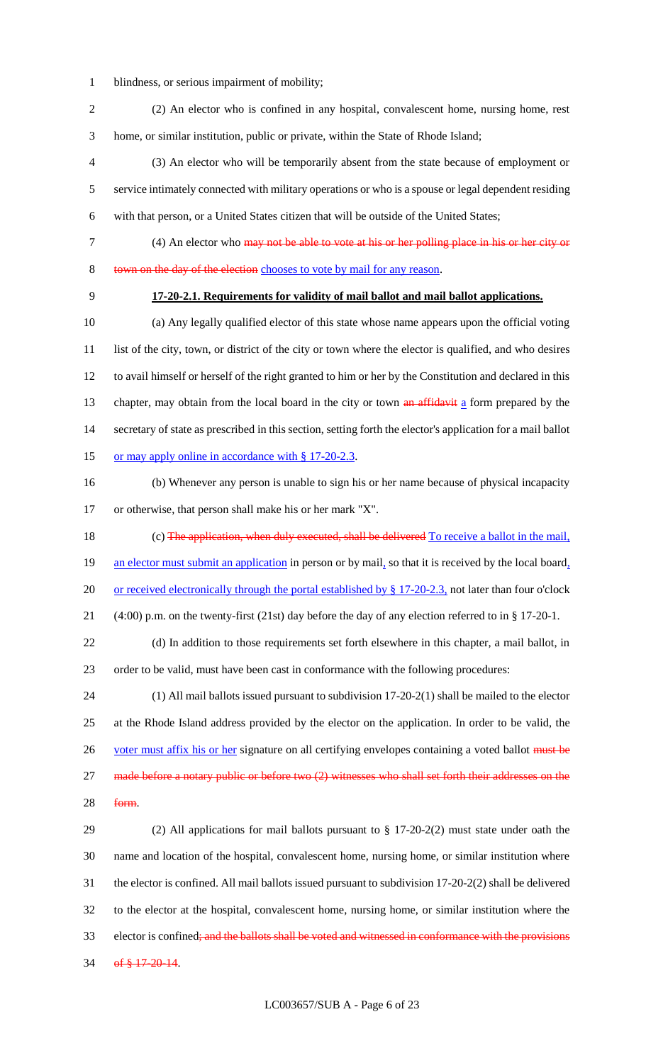- blindness, or serious impairment of mobility;
- (2) An elector who is confined in any hospital, convalescent home, nursing home, rest home, or similar institution, public or private, within the State of Rhode Island;

 (3) An elector who will be temporarily absent from the state because of employment or service intimately connected with military operations or who is a spouse or legal dependent residing with that person, or a United States citizen that will be outside of the United States;

- (4) An elector who may not be able to vote at his or her polling place in his or her city or
- 8 town on the day of the election chooses to vote by mail for any reason.
- 

# **17-20-2.1. Requirements for validity of mail ballot and mail ballot applications.**

 (a) Any legally qualified elector of this state whose name appears upon the official voting 11 list of the city, town, or district of the city or town where the elector is qualified, and who desires to avail himself or herself of the right granted to him or her by the Constitution and declared in this 13 chapter, may obtain from the local board in the city or town  $\frac{an \text{affidavit}}{an \text{ form}}$  aform prepared by the secretary of state as prescribed in this section, setting forth the elector's application for a mail ballot 15 or may apply online in accordance with § 17-20-2.3.

 (b) Whenever any person is unable to sign his or her name because of physical incapacity or otherwise, that person shall make his or her mark "X".

18 (c) The application, when duly executed, shall be delivered To receive a ballot in the mail, 19 an elector must submit an application in person or by mail, so that it is received by the local board, 20 or received electronically through the portal established by § 17-20-2.3, not later than four o'clock

(4:00) p.m. on the twenty-first (21st) day before the day of any election referred to in § 17-20-1.

 (d) In addition to those requirements set forth elsewhere in this chapter, a mail ballot, in order to be valid, must have been cast in conformance with the following procedures:

 (1) All mail ballots issued pursuant to subdivision 17-20-2(1) shall be mailed to the elector at the Rhode Island address provided by the elector on the application. In order to be valid, the 26 voter must affix his or her signature on all certifying envelopes containing a voted ballot must be 27 made before a notary public or before two (2) witnesses who shall set forth their addresses on the

form.

 (2) All applications for mail ballots pursuant to § 17-20-2(2) must state under oath the name and location of the hospital, convalescent home, nursing home, or similar institution where the elector is confined. All mail ballots issued pursuant to subdivision 17-20-2(2) shall be delivered to the elector at the hospital, convalescent home, nursing home, or similar institution where the 33 elector is confined; and the ballots shall be voted and witnessed in conformance with the provisions 34 of  $$17-20-14$ .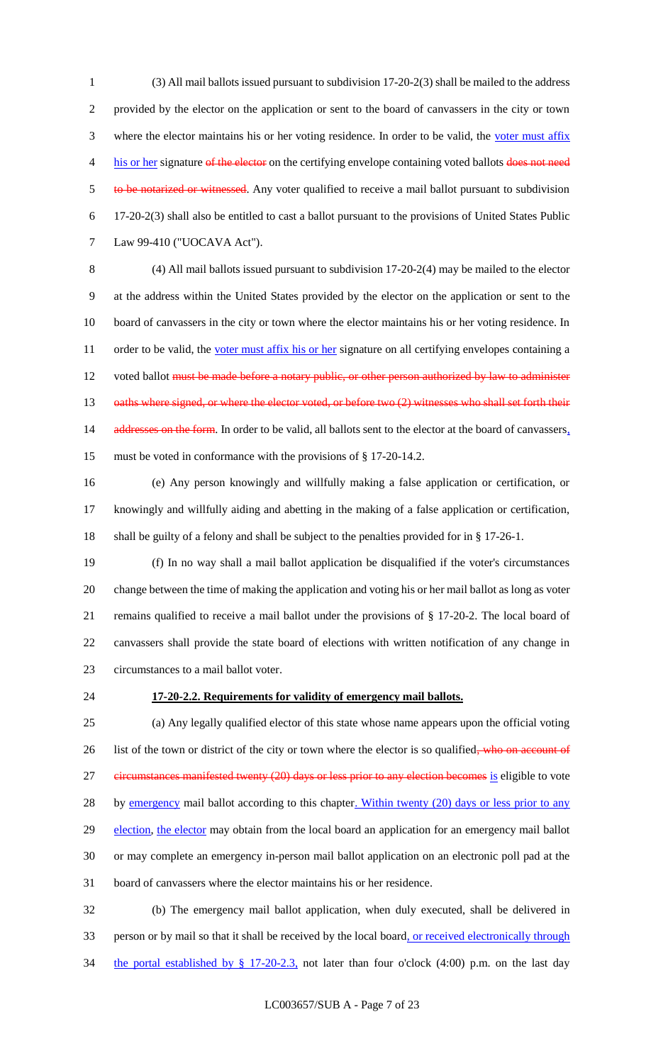1 (3) All mail ballots issued pursuant to subdivision 17-20-2(3) shall be mailed to the address 2 provided by the elector on the application or sent to the board of canvassers in the city or town 3 where the elector maintains his or her voting residence. In order to be valid, the voter must affix 4 his or her signature of the elector on the certifying envelope containing voted ballots does not need 5 to be notarized or witnessed. Any voter qualified to receive a mail ballot pursuant to subdivision 6 17-20-2(3) shall also be entitled to cast a ballot pursuant to the provisions of United States Public 7 Law 99-410 ("UOCAVA Act").

8 (4) All mail ballots issued pursuant to subdivision 17-20-2(4) may be mailed to the elector 9 at the address within the United States provided by the elector on the application or sent to the 10 board of canvassers in the city or town where the elector maintains his or her voting residence. In 11 order to be valid, the voter must affix his or her signature on all certifying envelopes containing a 12 voted ballot must be made before a notary public, or other person authorized by law to administer 13 oaths where signed, or where the elector voted, or before two (2) witnesses who shall set forth their 14 addresses on the form. In order to be valid, all ballots sent to the elector at the board of canvassers, 15 must be voted in conformance with the provisions of § 17-20-14.2.

16 (e) Any person knowingly and willfully making a false application or certification, or 17 knowingly and willfully aiding and abetting in the making of a false application or certification, 18 shall be guilty of a felony and shall be subject to the penalties provided for in § 17-26-1.

 (f) In no way shall a mail ballot application be disqualified if the voter's circumstances change between the time of making the application and voting his or her mail ballot as long as voter remains qualified to receive a mail ballot under the provisions of § 17-20-2. The local board of canvassers shall provide the state board of elections with written notification of any change in circumstances to a mail ballot voter.

#### 24 **17-20-2.2. Requirements for validity of emergency mail ballots.**

25 (a) Any legally qualified elector of this state whose name appears upon the official voting 26 list of the town or district of the city or town where the elector is so qualified, who on account of 27 eircumstances manifested twenty (20) days or less prior to any election becomes is eligible to vote 28 by emergency mail ballot according to this chapter. Within twenty (20) days or less prior to any 29 election, the elector may obtain from the local board an application for an emergency mail ballot 30 or may complete an emergency in-person mail ballot application on an electronic poll pad at the 31 board of canvassers where the elector maintains his or her residence.

32 (b) The emergency mail ballot application, when duly executed, shall be delivered in 33 person or by mail so that it shall be received by the local board, or received electronically through 34 the portal established by § 17-20-2.3, not later than four o'clock (4:00) p.m. on the last day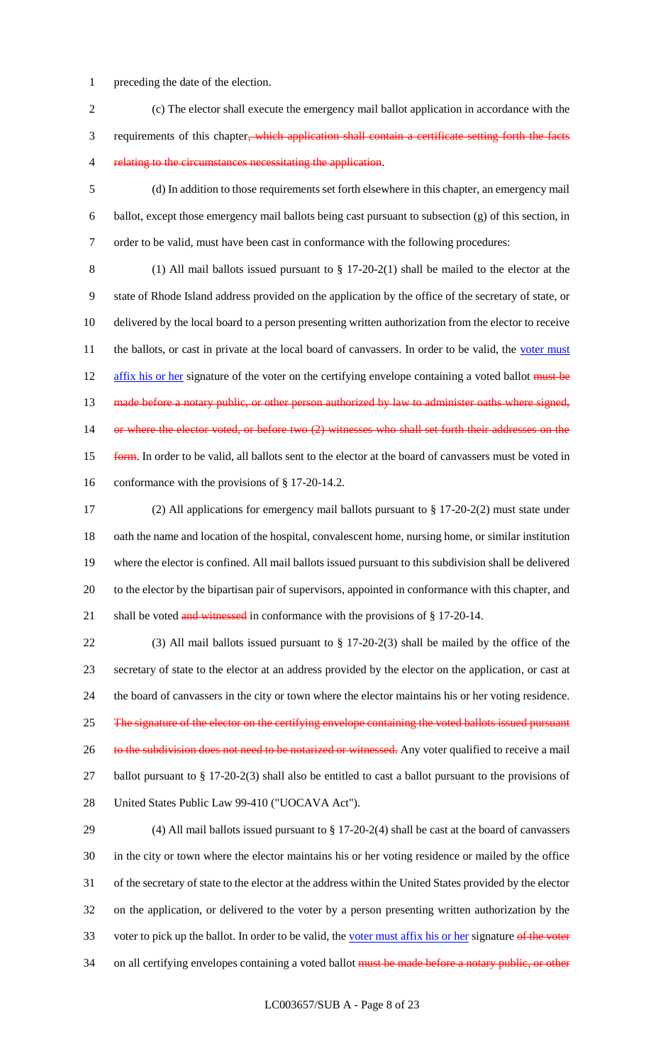- preceding the date of the election.
- (c) The elector shall execute the emergency mail ballot application in accordance with the requirements of this chapter, which application shall contain a certificate setting forth the facts 4 relating to the circumstances necessitating the application.
- (d) In addition to those requirements set forth elsewhere in this chapter, an emergency mail ballot, except those emergency mail ballots being cast pursuant to subsection (g) of this section, in order to be valid, must have been cast in conformance with the following procedures:
- 

 (1) All mail ballots issued pursuant to § 17-20-2(1) shall be mailed to the elector at the state of Rhode Island address provided on the application by the office of the secretary of state, or delivered by the local board to a person presenting written authorization from the elector to receive 11 the ballots, or cast in private at the local board of canvassers. In order to be valid, the voter must 12 affix his or her signature of the voter on the certifying envelope containing a voted ballot must be 13 made before a notary public, or other person authorized by law to administer oaths where signed, 14 or where the elector voted, or before two (2) witnesses who shall set forth their addresses on the **form.** In order to be valid, all ballots sent to the elector at the board of canvassers must be voted in conformance with the provisions of § 17-20-14.2.

 (2) All applications for emergency mail ballots pursuant to § 17-20-2(2) must state under oath the name and location of the hospital, convalescent home, nursing home, or similar institution where the elector is confined. All mail ballots issued pursuant to this subdivision shall be delivered to the elector by the bipartisan pair of supervisors, appointed in conformance with this chapter, and 21 shall be voted and witnessed in conformance with the provisions of § 17-20-14.

 (3) All mail ballots issued pursuant to § 17-20-2(3) shall be mailed by the office of the secretary of state to the elector at an address provided by the elector on the application, or cast at the board of canvassers in the city or town where the elector maintains his or her voting residence. 25 The signature of the elector on the certifying envelope containing the voted ballots issued pursuant 26 to the subdivision does not need to be notarized or witnessed. Any voter qualified to receive a mail ballot pursuant to § 17-20-2(3) shall also be entitled to cast a ballot pursuant to the provisions of United States Public Law 99-410 ("UOCAVA Act").

 (4) All mail ballots issued pursuant to § 17-20-2(4) shall be cast at the board of canvassers in the city or town where the elector maintains his or her voting residence or mailed by the office of the secretary of state to the elector at the address within the United States provided by the elector on the application, or delivered to the voter by a person presenting written authorization by the 33 voter to pick up the ballot. In order to be valid, the voter must affix his or her signature of the voter 34 on all certifying envelopes containing a voted ballot must be made before a notary public, or other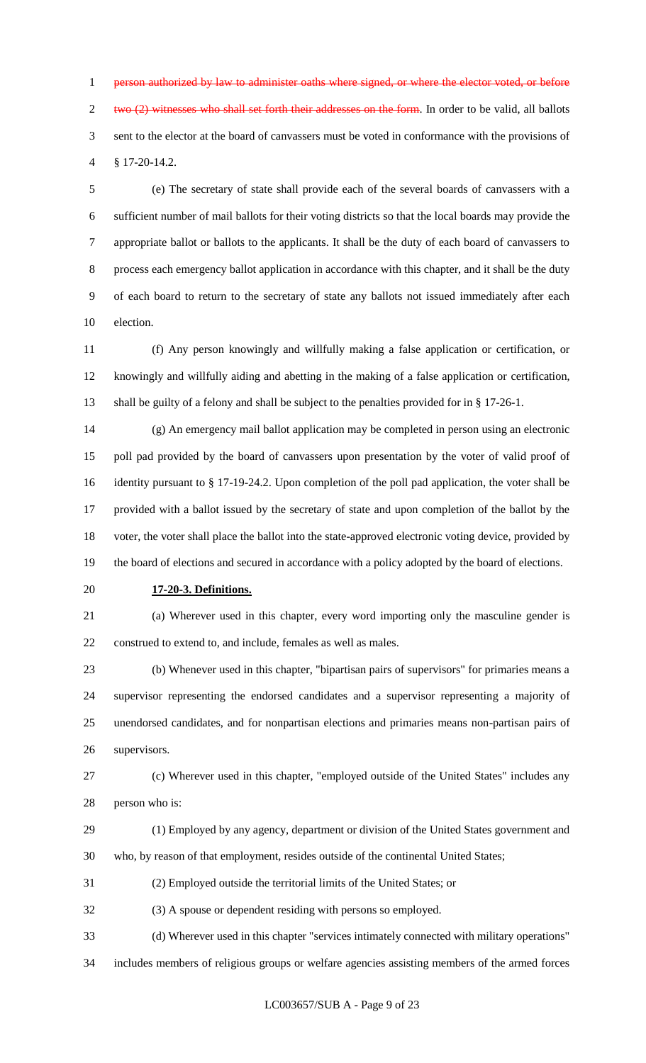person authorized by law to administer oaths where signed, or where the elector voted, or before two  $(2)$  witnesses who shall set forth their addresses on the form. In order to be valid, all ballots sent to the elector at the board of canvassers must be voted in conformance with the provisions of § 17-20-14.2.

 (e) The secretary of state shall provide each of the several boards of canvassers with a sufficient number of mail ballots for their voting districts so that the local boards may provide the appropriate ballot or ballots to the applicants. It shall be the duty of each board of canvassers to process each emergency ballot application in accordance with this chapter, and it shall be the duty of each board to return to the secretary of state any ballots not issued immediately after each election.

 (f) Any person knowingly and willfully making a false application or certification, or knowingly and willfully aiding and abetting in the making of a false application or certification, shall be guilty of a felony and shall be subject to the penalties provided for in § 17-26-1.

 (g) An emergency mail ballot application may be completed in person using an electronic poll pad provided by the board of canvassers upon presentation by the voter of valid proof of identity pursuant to § 17-19-24.2. Upon completion of the poll pad application, the voter shall be provided with a ballot issued by the secretary of state and upon completion of the ballot by the voter, the voter shall place the ballot into the state-approved electronic voting device, provided by the board of elections and secured in accordance with a policy adopted by the board of elections.

**17-20-3. Definitions.**

 (a) Wherever used in this chapter, every word importing only the masculine gender is construed to extend to, and include, females as well as males.

 (b) Whenever used in this chapter, "bipartisan pairs of supervisors" for primaries means a supervisor representing the endorsed candidates and a supervisor representing a majority of unendorsed candidates, and for nonpartisan elections and primaries means non-partisan pairs of supervisors.

 (c) Wherever used in this chapter, "employed outside of the United States" includes any person who is:

- (1) Employed by any agency, department or division of the United States government and who, by reason of that employment, resides outside of the continental United States;
- (2) Employed outside the territorial limits of the United States; or
- (3) A spouse or dependent residing with persons so employed.

(d) Wherever used in this chapter "services intimately connected with military operations"

includes members of religious groups or welfare agencies assisting members of the armed forces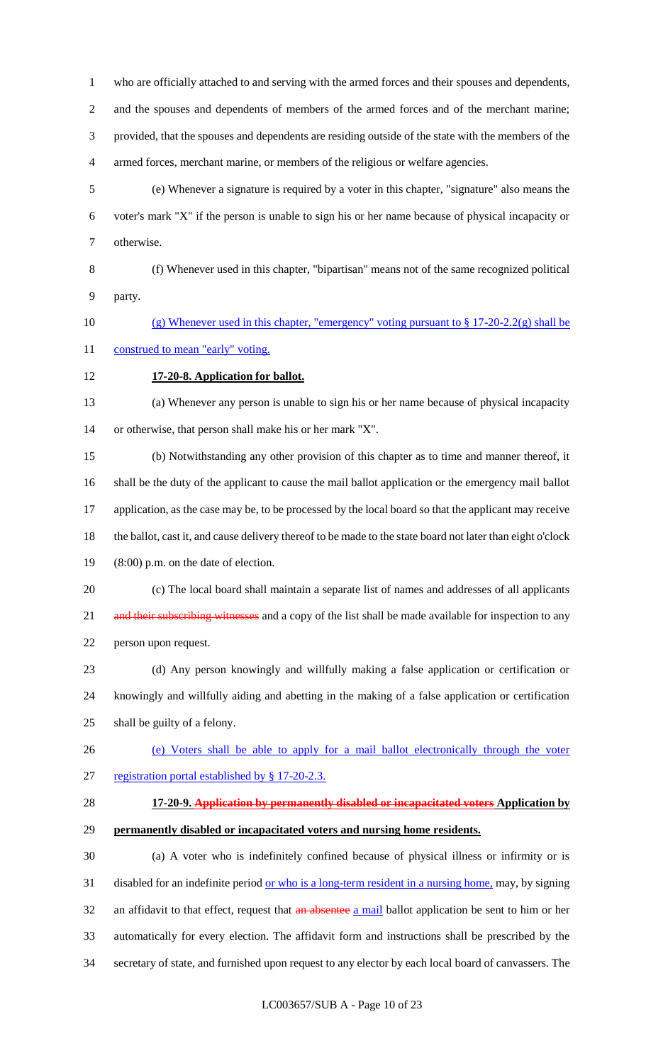who are officially attached to and serving with the armed forces and their spouses and dependents,

 and the spouses and dependents of members of the armed forces and of the merchant marine; provided, that the spouses and dependents are residing outside of the state with the members of the armed forces, merchant marine, or members of the religious or welfare agencies.

- (e) Whenever a signature is required by a voter in this chapter, "signature" also means the voter's mark "X" if the person is unable to sign his or her name because of physical incapacity or otherwise.
- (f) Whenever used in this chapter, "bipartisan" means not of the same recognized political party.
- 10 (g) Whenever used in this chapter, "emergency" voting pursuant to  $\S 17-20-2.2(g)$  shall be
- 11 construed to mean "early" voting.
- **17-20-8. Application for ballot.**

 (a) Whenever any person is unable to sign his or her name because of physical incapacity or otherwise, that person shall make his or her mark "X".

 (b) Notwithstanding any other provision of this chapter as to time and manner thereof, it shall be the duty of the applicant to cause the mail ballot application or the emergency mail ballot 17 application, as the case may be, to be processed by the local board so that the applicant may receive the ballot, cast it, and cause delivery thereof to be made to the state board not later than eight o'clock (8:00) p.m. on the date of election.

- (c) The local board shall maintain a separate list of names and addresses of all applicants 21 and their subscribing witnesses and a copy of the list shall be made available for inspection to any person upon request.
- (d) Any person knowingly and willfully making a false application or certification or knowingly and willfully aiding and abetting in the making of a false application or certification shall be guilty of a felony.
- (e) Voters shall be able to apply for a mail ballot electronically through the voter registration portal established by § 17-20-2.3.
- 
- **17-20-9. Application by permanently disabled or incapacitated voters Application by permanently disabled or incapacitated voters and nursing home residents.**

 (a) A voter who is indefinitely confined because of physical illness or infirmity or is 31 disabled for an indefinite period <u>or who is a long-term resident in a nursing home,</u> may, by signing 32 an affidavit to that effect, request that an absentee a mail ballot application be sent to him or her automatically for every election. The affidavit form and instructions shall be prescribed by the secretary of state, and furnished upon request to any elector by each local board of canvassers. The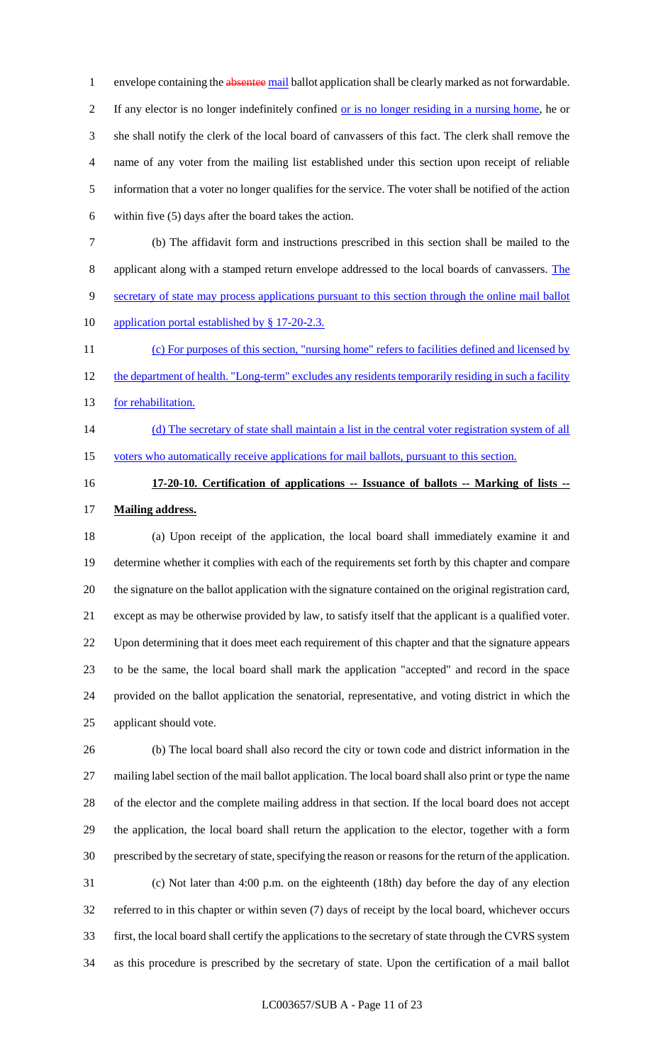1 envelope containing the absentee mail ballot application shall be clearly marked as not forwardable. If any elector is no longer indefinitely confined or is no longer residing in a nursing home, he or she shall notify the clerk of the local board of canvassers of this fact. The clerk shall remove the name of any voter from the mailing list established under this section upon receipt of reliable information that a voter no longer qualifies for the service. The voter shall be notified of the action within five (5) days after the board takes the action.

 (b) The affidavit form and instructions prescribed in this section shall be mailed to the applicant along with a stamped return envelope addressed to the local boards of canvassers. The secretary of state may process applications pursuant to this section through the online mail ballot

10 application portal established by § 17-20-2.3.

 (c) For purposes of this section, "nursing home" refers to facilities defined and licensed by 12 the department of health. "Long-term" excludes any residents temporarily residing in such a facility 13 for rehabilitation.

- 14 (d) The secretary of state shall maintain a list in the central voter registration system of all voters who automatically receive applications for mail ballots, pursuant to this section.
- 

# **17-20-10. Certification of applications -- Issuance of ballots -- Marking of lists -- Mailing address.**

 (a) Upon receipt of the application, the local board shall immediately examine it and determine whether it complies with each of the requirements set forth by this chapter and compare the signature on the ballot application with the signature contained on the original registration card, except as may be otherwise provided by law, to satisfy itself that the applicant is a qualified voter. Upon determining that it does meet each requirement of this chapter and that the signature appears to be the same, the local board shall mark the application "accepted" and record in the space provided on the ballot application the senatorial, representative, and voting district in which the applicant should vote.

 (b) The local board shall also record the city or town code and district information in the mailing label section of the mail ballot application. The local board shall also print or type the name of the elector and the complete mailing address in that section. If the local board does not accept the application, the local board shall return the application to the elector, together with a form prescribed by the secretary of state, specifying the reason or reasons for the return of the application. (c) Not later than 4:00 p.m. on the eighteenth (18th) day before the day of any election referred to in this chapter or within seven (7) days of receipt by the local board, whichever occurs first, the local board shall certify the applications to the secretary of state through the CVRS system as this procedure is prescribed by the secretary of state. Upon the certification of a mail ballot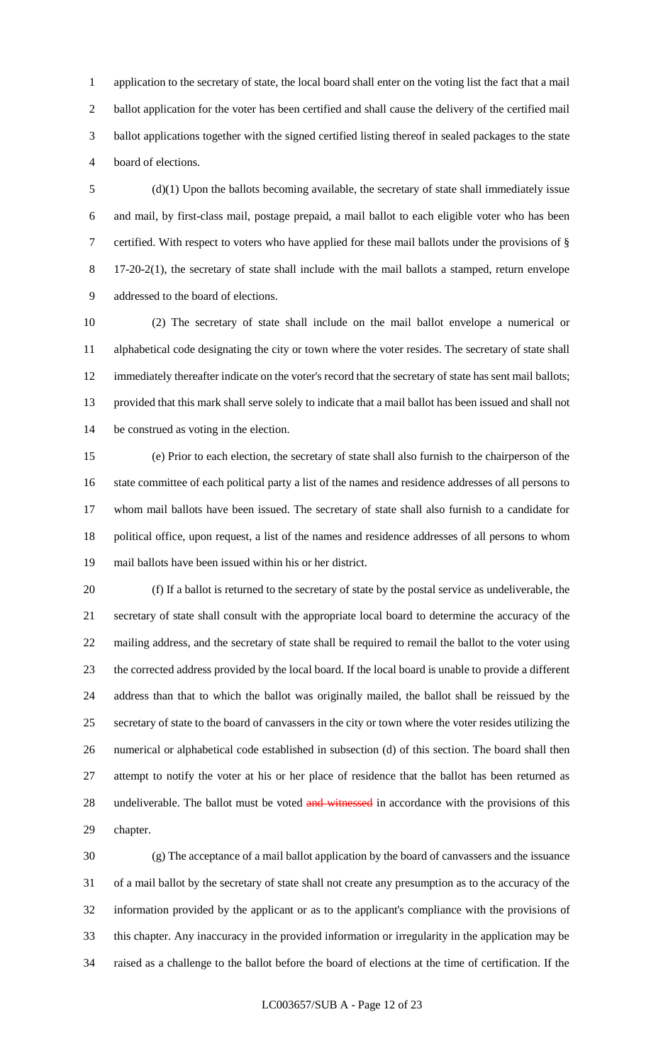application to the secretary of state, the local board shall enter on the voting list the fact that a mail ballot application for the voter has been certified and shall cause the delivery of the certified mail ballot applications together with the signed certified listing thereof in sealed packages to the state board of elections.

 (d)(1) Upon the ballots becoming available, the secretary of state shall immediately issue and mail, by first-class mail, postage prepaid, a mail ballot to each eligible voter who has been certified. With respect to voters who have applied for these mail ballots under the provisions of § 17-20-2(1), the secretary of state shall include with the mail ballots a stamped, return envelope addressed to the board of elections.

 (2) The secretary of state shall include on the mail ballot envelope a numerical or alphabetical code designating the city or town where the voter resides. The secretary of state shall 12 immediately thereafter indicate on the voter's record that the secretary of state has sent mail ballots; provided that this mark shall serve solely to indicate that a mail ballot has been issued and shall not be construed as voting in the election.

 (e) Prior to each election, the secretary of state shall also furnish to the chairperson of the state committee of each political party a list of the names and residence addresses of all persons to whom mail ballots have been issued. The secretary of state shall also furnish to a candidate for political office, upon request, a list of the names and residence addresses of all persons to whom mail ballots have been issued within his or her district.

 (f) If a ballot is returned to the secretary of state by the postal service as undeliverable, the secretary of state shall consult with the appropriate local board to determine the accuracy of the mailing address, and the secretary of state shall be required to remail the ballot to the voter using the corrected address provided by the local board. If the local board is unable to provide a different address than that to which the ballot was originally mailed, the ballot shall be reissued by the secretary of state to the board of canvassers in the city or town where the voter resides utilizing the numerical or alphabetical code established in subsection (d) of this section. The board shall then attempt to notify the voter at his or her place of residence that the ballot has been returned as 28 undeliverable. The ballot must be voted and witnessed in accordance with the provisions of this chapter.

 (g) The acceptance of a mail ballot application by the board of canvassers and the issuance of a mail ballot by the secretary of state shall not create any presumption as to the accuracy of the information provided by the applicant or as to the applicant's compliance with the provisions of this chapter. Any inaccuracy in the provided information or irregularity in the application may be raised as a challenge to the ballot before the board of elections at the time of certification. If the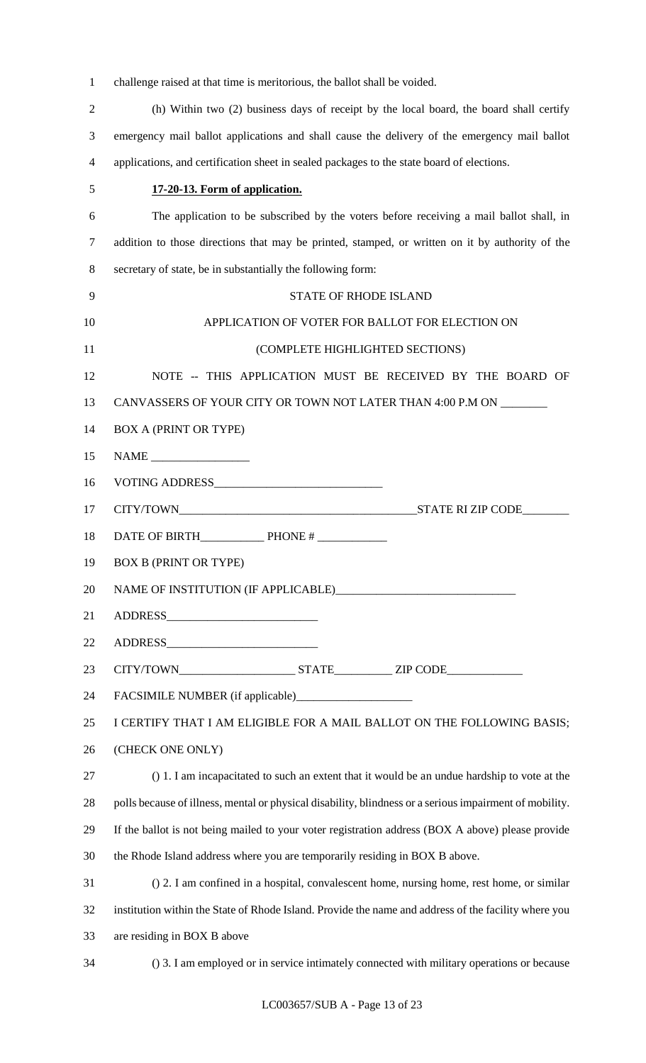| challenge raised at that time is meritorious, the ballot shall be voided. |
|---------------------------------------------------------------------------|
|---------------------------------------------------------------------------|

| 5 | 17-20-13. Form of application.                                                               |
|---|----------------------------------------------------------------------------------------------|
| 4 | applications, and certification sheet in sealed packages to the state board of elections.    |
| 3 | emergency mail ballot applications and shall cause the delivery of the emergency mail ballot |
| 2 | (h) Within two (2) business days of receipt by the local board, the board shall certify      |

| 6  | The application to be subscribed by the voters before receiving a mail ballot shall, in                 |
|----|---------------------------------------------------------------------------------------------------------|
| 7  | addition to those directions that may be printed, stamped, or written on it by authority of the         |
| 8  | secretary of state, be in substantially the following form:                                             |
| 9  | <b>STATE OF RHODE ISLAND</b>                                                                            |
| 10 | APPLICATION OF VOTER FOR BALLOT FOR ELECTION ON                                                         |
| 11 | (COMPLETE HIGHLIGHTED SECTIONS)                                                                         |
| 12 | NOTE -- THIS APPLICATION MUST BE RECEIVED BY THE BOARD OF                                               |
| 13 | CANVASSERS OF YOUR CITY OR TOWN NOT LATER THAN 4:00 P.M ON _______                                      |
| 14 | <b>BOX A (PRINT OR TYPE)</b>                                                                            |
| 15 |                                                                                                         |
| 16 |                                                                                                         |
| 17 |                                                                                                         |
| 18 |                                                                                                         |
| 19 | <b>BOX B (PRINT OR TYPE)</b>                                                                            |
| 20 |                                                                                                         |
| 21 |                                                                                                         |
| 22 |                                                                                                         |
| 23 |                                                                                                         |
| 24 |                                                                                                         |
| 25 | I CERTIFY THAT I AM ELIGIBLE FOR A MAIL BALLOT ON THE FOLLOWING BASIS;                                  |
| 26 | (CHECK ONE ONLY)                                                                                        |
| 27 | () 1. I am incapacitated to such an extent that it would be an undue hardship to vote at the            |
| 28 | polls because of illness, mental or physical disability, blindness or a serious impairment of mobility. |
| 29 | If the ballot is not being mailed to your voter registration address (BOX A above) please provide       |
| 30 | the Rhode Island address where you are temporarily residing in BOX B above.                             |
| 31 | () 2. I am confined in a hospital, convalescent home, nursing home, rest home, or similar               |
| 32 | institution within the State of Rhode Island. Provide the name and address of the facility where you    |
| 33 | are residing in BOX B above                                                                             |

() 3. I am employed or in service intimately connected with military operations or because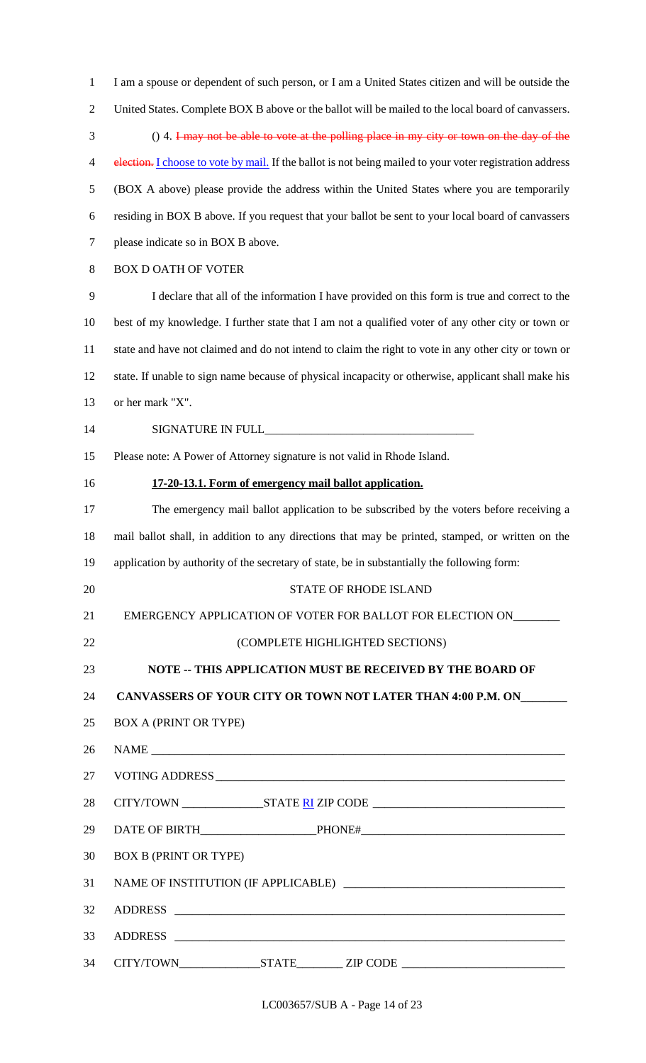United States. Complete BOX B above or the ballot will be mailed to the local board of canvassers. () 4. I may not be able to vote at the polling place in my city or town on the day of the 4 election. I choose to vote by mail. If the ballot is not being mailed to your voter registration address (BOX A above) please provide the address within the United States where you are temporarily residing in BOX B above. If you request that your ballot be sent to your local board of canvassers please indicate so in BOX B above. BOX D OATH OF VOTER I declare that all of the information I have provided on this form is true and correct to the best of my knowledge. I further state that I am not a qualified voter of any other city or town or state and have not claimed and do not intend to claim the right to vote in any other city or town or state. If unable to sign name because of physical incapacity or otherwise, applicant shall make his or her mark "X". 14 SIGNATURE IN FULL Please note: A Power of Attorney signature is not valid in Rhode Island. **17-20-13.1. Form of emergency mail ballot application.** The emergency mail ballot application to be subscribed by the voters before receiving a mail ballot shall, in addition to any directions that may be printed, stamped, or written on the application by authority of the secretary of state, be in substantially the following form: 20 STATE OF RHODE ISLAND 21 EMERGENCY APPLICATION OF VOTER FOR BALLOT FOR ELECTION ON\_\_\_\_\_\_\_\_ (COMPLETE HIGHLIGHTED SECTIONS) **NOTE -- THIS APPLICATION MUST BE RECEIVED BY THE BOARD OF CANVASSERS OF YOUR CITY OR TOWN NOT LATER THAN 4:00 P.M. ON\_\_\_\_\_\_\_\_** BOX A (PRINT OR TYPE) NAME \_\_\_\_\_\_\_\_\_\_\_\_\_\_\_\_\_\_\_\_\_\_\_\_\_\_\_\_\_\_\_\_\_\_\_\_\_\_\_\_\_\_\_\_\_\_\_\_\_\_\_\_\_\_\_\_\_\_\_\_\_\_\_\_\_\_\_\_\_\_\_ 27 VOTING ADDRESS CITY/TOWN \_\_\_\_\_\_\_\_\_\_\_\_\_\_STATE RI ZIP CODE \_\_\_\_\_\_\_\_\_\_\_\_\_\_\_\_\_\_\_\_\_\_\_\_\_\_\_\_\_\_\_\_\_ DATE OF BIRTH\_\_\_\_\_\_\_\_\_\_\_\_\_\_\_\_\_\_\_\_PHONE#\_\_\_\_\_\_\_\_\_\_\_\_\_\_\_\_\_\_\_\_\_\_\_\_\_\_\_\_\_\_\_\_\_\_\_ BOX B (PRINT OR TYPE) 31 NAME OF INSTITUTION (IF APPLICABLE) 32 ADDRESS 33 ADDRESS \_ CITY/TOWN\_\_\_\_\_\_\_\_\_\_\_\_\_\_STATE\_\_\_\_\_\_\_\_ ZIP CODE \_\_\_\_\_\_\_\_\_\_\_\_\_\_\_\_\_\_\_\_\_\_\_\_\_\_\_\_

I am a spouse or dependent of such person, or I am a United States citizen and will be outside the

LC003657/SUB A - Page 14 of 23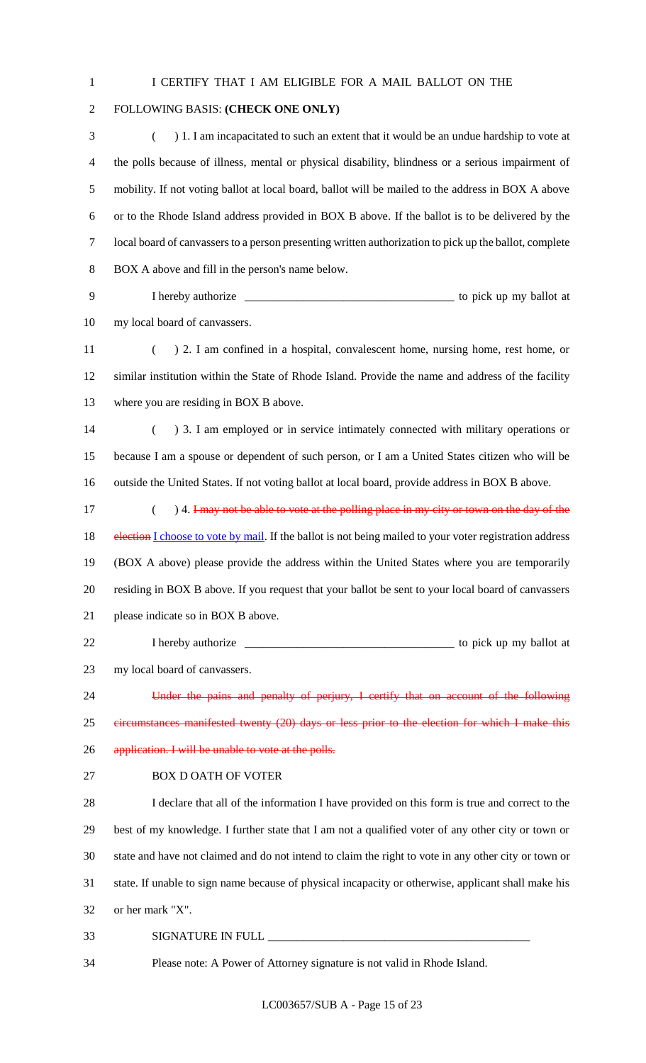I CERTIFY THAT I AM ELIGIBLE FOR A MAIL BALLOT ON THE

# FOLLOWING BASIS: **(CHECK ONE ONLY)**

 ( ) 1. I am incapacitated to such an extent that it would be an undue hardship to vote at the polls because of illness, mental or physical disability, blindness or a serious impairment of mobility. If not voting ballot at local board, ballot will be mailed to the address in BOX A above or to the Rhode Island address provided in BOX B above. If the ballot is to be delivered by the local board of canvassers to a person presenting written authorization to pick up the ballot, complete BOX A above and fill in the person's name below.

 I hereby authorize \_\_\_\_\_\_\_\_\_\_\_\_\_\_\_\_\_\_\_\_\_\_\_\_\_\_\_\_\_\_\_\_\_\_\_\_ to pick up my ballot at my local board of canvassers.

 ( ) 2. I am confined in a hospital, convalescent home, nursing home, rest home, or similar institution within the State of Rhode Island. Provide the name and address of the facility 13 where you are residing in BOX B above.

14 (a) 3. I am employed or in service intimately connected with military operations or because I am a spouse or dependent of such person, or I am a United States citizen who will be outside the United States. If not voting ballot at local board, provide address in BOX B above.

17 (a) 4. I may not be able to vote at the polling place in my city or town on the day of the 18 election I choose to vote by mail. If the ballot is not being mailed to your voter registration address (BOX A above) please provide the address within the United States where you are temporarily residing in BOX B above. If you request that your ballot be sent to your local board of canvassers please indicate so in BOX B above.

 I hereby authorize \_\_\_\_\_\_\_\_\_\_\_\_\_\_\_\_\_\_\_\_\_\_\_\_\_\_\_\_\_\_\_\_\_\_\_\_ to pick up my ballot at my local board of canvassers.

Under the pains and penalty of perjury, I certify that on account of the following

 circumstances manifested twenty (20) days or less prior to the election for which I make this 26 application. I will be unable to vote at the polls.

BOX D OATH OF VOTER

 I declare that all of the information I have provided on this form is true and correct to the best of my knowledge. I further state that I am not a qualified voter of any other city or town or state and have not claimed and do not intend to claim the right to vote in any other city or town or state. If unable to sign name because of physical incapacity or otherwise, applicant shall make his or her mark "X".

33 SIGNATURE IN FULL

Please note: A Power of Attorney signature is not valid in Rhode Island.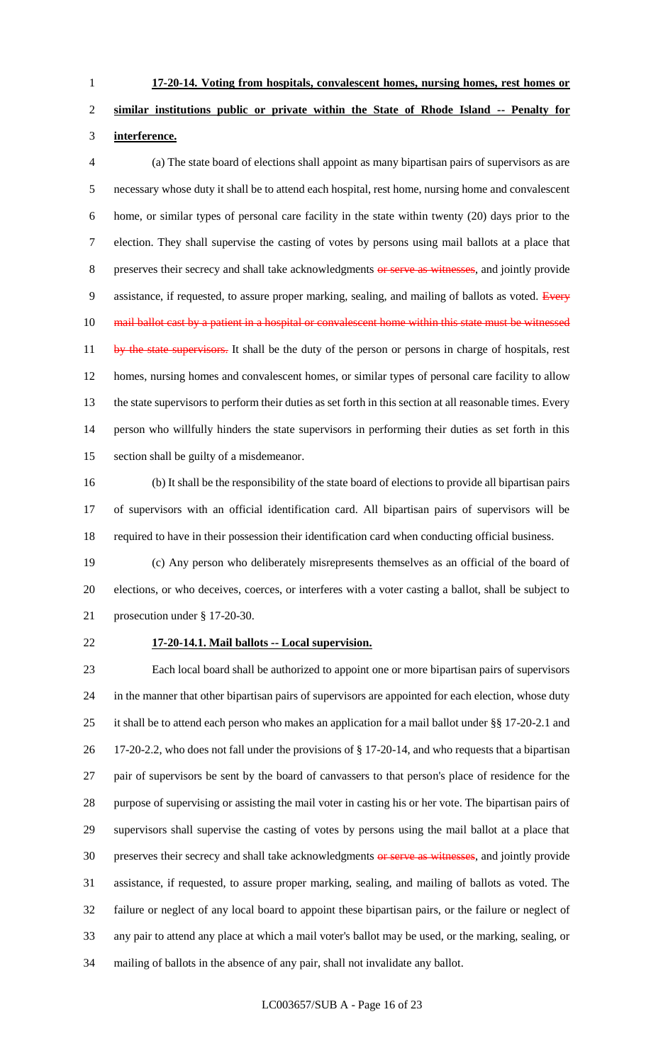**17-20-14. Voting from hospitals, convalescent homes, nursing homes, rest homes or** 

# **similar institutions public or private within the State of Rhode Island -- Penalty for interference.**

 (a) The state board of elections shall appoint as many bipartisan pairs of supervisors as are necessary whose duty it shall be to attend each hospital, rest home, nursing home and convalescent home, or similar types of personal care facility in the state within twenty (20) days prior to the election. They shall supervise the casting of votes by persons using mail ballots at a place that 8 preserves their secrecy and shall take acknowledgments or serve as witnesses, and jointly provide 9 assistance, if requested, to assure proper marking, sealing, and mailing of ballots as voted. Every 10 mail ballot cast by a patient in a hospital or convalescent home within this state must be witnessed 11 by the state supervisors. It shall be the duty of the person or persons in charge of hospitals, rest homes, nursing homes and convalescent homes, or similar types of personal care facility to allow the state supervisors to perform their duties as set forth in this section at all reasonable times. Every person who willfully hinders the state supervisors in performing their duties as set forth in this section shall be guilty of a misdemeanor.

 (b) It shall be the responsibility of the state board of elections to provide all bipartisan pairs of supervisors with an official identification card. All bipartisan pairs of supervisors will be required to have in their possession their identification card when conducting official business.

 (c) Any person who deliberately misrepresents themselves as an official of the board of elections, or who deceives, coerces, or interferes with a voter casting a ballot, shall be subject to prosecution under § 17-20-30.

#### **17-20-14.1. Mail ballots -- Local supervision.**

 Each local board shall be authorized to appoint one or more bipartisan pairs of supervisors in the manner that other bipartisan pairs of supervisors are appointed for each election, whose duty it shall be to attend each person who makes an application for a mail ballot under §§ 17-20-2.1 and 17-20-2.2, who does not fall under the provisions of § 17-20-14, and who requests that a bipartisan pair of supervisors be sent by the board of canvassers to that person's place of residence for the purpose of supervising or assisting the mail voter in casting his or her vote. The bipartisan pairs of supervisors shall supervise the casting of votes by persons using the mail ballot at a place that 30 preserves their secrecy and shall take acknowledgments or serve as witnesses, and jointly provide assistance, if requested, to assure proper marking, sealing, and mailing of ballots as voted. The failure or neglect of any local board to appoint these bipartisan pairs, or the failure or neglect of any pair to attend any place at which a mail voter's ballot may be used, or the marking, sealing, or mailing of ballots in the absence of any pair, shall not invalidate any ballot.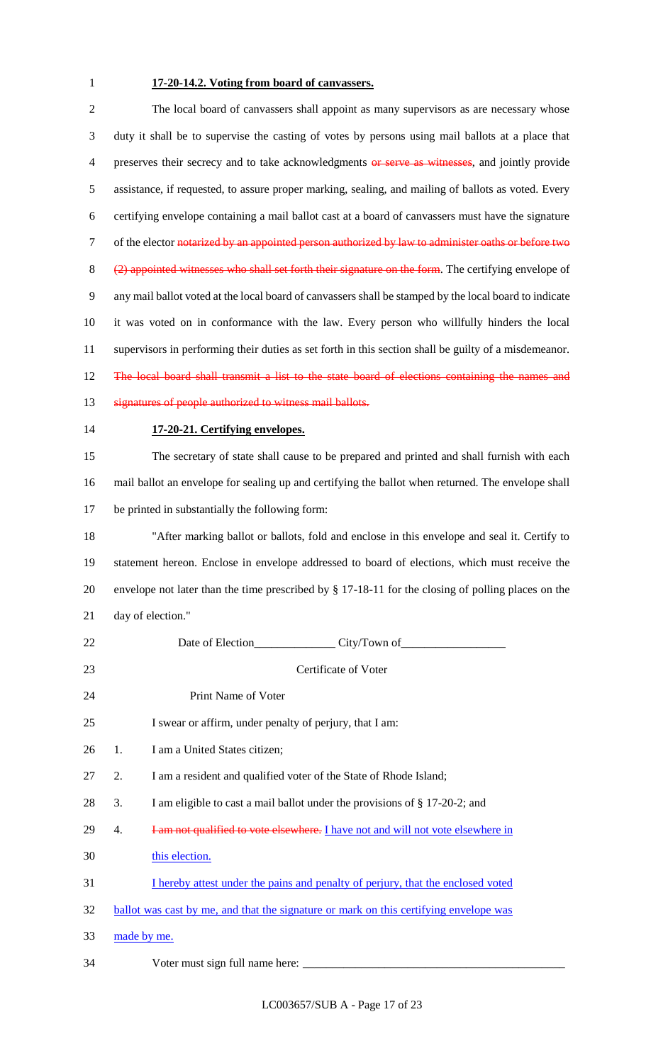# **17-20-14.2. Voting from board of canvassers.**

| $\sqrt{2}$ | The local board of canvassers shall appoint as many supervisors as are necessary whose                 |
|------------|--------------------------------------------------------------------------------------------------------|
| 3          | duty it shall be to supervise the casting of votes by persons using mail ballots at a place that       |
| 4          | preserves their secrecy and to take acknowledgments or serve as witnesses, and jointly provide         |
| 5          | assistance, if requested, to assure proper marking, sealing, and mailing of ballots as voted. Every    |
| 6          | certifying envelope containing a mail ballot cast at a board of canvassers must have the signature     |
| $\tau$     | of the elector notarized by an appointed person authorized by law to administer oaths or before two    |
| $8\,$      | (2) appointed witnesses who shall set forth their signature on the form. The certifying envelope of    |
| 9          | any mail ballot voted at the local board of canvassers shall be stamped by the local board to indicate |
| 10         | it was voted on in conformance with the law. Every person who willfully hinders the local              |
| 11         | supervisors in performing their duties as set forth in this section shall be guilty of a misdemeanor.  |
| 12         | The local board shall transmit a list to the state board of elections containing the names and         |
| 13         | signatures of people authorized to witness mail ballots.                                               |
| 14         | 17-20-21. Certifying envelopes.                                                                        |
| 15         | The secretary of state shall cause to be prepared and printed and shall furnish with each              |
| 16         | mail ballot an envelope for sealing up and certifying the ballot when returned. The envelope shall     |
| 17         | be printed in substantially the following form:                                                        |
| 18         | "After marking ballot or ballots, fold and enclose in this envelope and seal it. Certify to            |
| 19         | statement hereon. Enclose in envelope addressed to board of elections, which must receive the          |
| 20         | envelope not later than the time prescribed by § 17-18-11 for the closing of polling places on the     |
| 21         | day of election."                                                                                      |
| 22         |                                                                                                        |
| 23         | Certificate of Voter                                                                                   |
| 24         | Print Name of Voter                                                                                    |
| 25         | I swear or affirm, under penalty of perjury, that I am:                                                |
| 26         | I am a United States citizen;<br>1.                                                                    |
| 27         | I am a resident and qualified voter of the State of Rhode Island;<br>2.                                |
| 28         | I am eligible to cast a mail ballot under the provisions of § 17-20-2; and<br>3.                       |
| 29         | I am not qualified to vote elsewhere. I have not and will not vote elsewhere in<br>4.                  |
| 30         | this election.                                                                                         |
| 31         | I hereby attest under the pains and penalty of perjury, that the enclosed voted                        |
| 32         | ballot was cast by me, and that the signature or mark on this certifying envelope was                  |
| 33         | made by me.                                                                                            |
| 34         |                                                                                                        |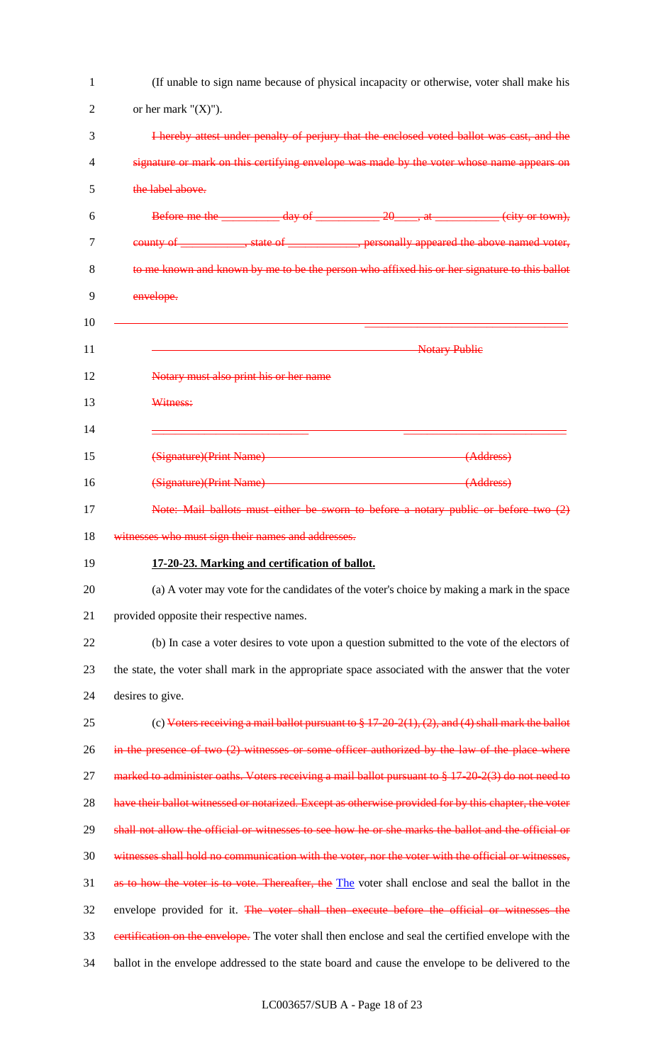| 1  | (If unable to sign name because of physical incapacity or otherwise, voter shall make his             |
|----|-------------------------------------------------------------------------------------------------------|
| 2  | or her mark " $(X)$ ").                                                                               |
| 3  | I hereby attest under penalty of perjury that the enclosed voted ballot was cast, and the             |
| 4  | signature or mark on this certifying envelope was made by the voter whose name appears on             |
| 5  | the label above.                                                                                      |
| 6  | Before me the ___________ day of ___________ 20_____, at __________ (city or town),                   |
| 7  | county of ____________, state of _____________, personally appeared the above named voter,            |
| 8  | to me known and known by me to be the person who affixed his or her signature to this ballot          |
| 9  | envelope.                                                                                             |
| 10 |                                                                                                       |
| 11 | <b>Notary Publie</b>                                                                                  |
| 12 | Notary must also print his or her name                                                                |
| 13 | Witness:                                                                                              |
| 14 |                                                                                                       |
| 15 | (Signature)(Print Name)<br>(Address)                                                                  |
| 16 | (Signature)(Print Name) (Address)                                                                     |
| 17 | Note: Mail ballots must either be sworn to before a notary public or before two (2)                   |
| 18 | witnesses who must sign their names and addresses.                                                    |
| 19 | 17-20-23. Marking and certification of ballot.                                                        |
| 20 | (a) A voter may vote for the candidates of the voter's choice by making a mark in the space           |
| 21 | provided opposite their respective names.                                                             |
| 22 | (b) In case a voter desires to vote upon a question submitted to the vote of the electors of          |
| 23 | the state, the voter shall mark in the appropriate space associated with the answer that the voter    |
| 24 | desires to give.                                                                                      |
| 25 | (c) Voters receiving a mail ballot pursuant to $\S 17-20-2(1), (2)$ , and (4) shall mark the ballot   |
| 26 | in the presence of two $(2)$ witnesses or some officer authorized by the law of the place where       |
| 27 | marked to administer oaths. Voters receiving a mail ballot pursuant to § 17-20-2(3) do not need to    |
| 28 | have their ballot witnessed or notarized. Except as otherwise provided for by this chapter, the voter |
| 29 | shall not allow the official or witnesses to see how he or she marks the ballot and the official or   |
| 30 | witnesses shall hold no communication with the voter, nor the voter with the official or witnesses,   |
| 31 | as to how the voter is to vote. Thereafter, the The voter shall enclose and seal the ballot in the    |
| 32 | envelope provided for it. The voter shall then execute before the official or witnesses the           |
| 33 | estrification on the envelope. The voter shall then enclose and seal the certified envelope with the  |
| 34 | ballot in the envelope addressed to the state board and cause the envelope to be delivered to the     |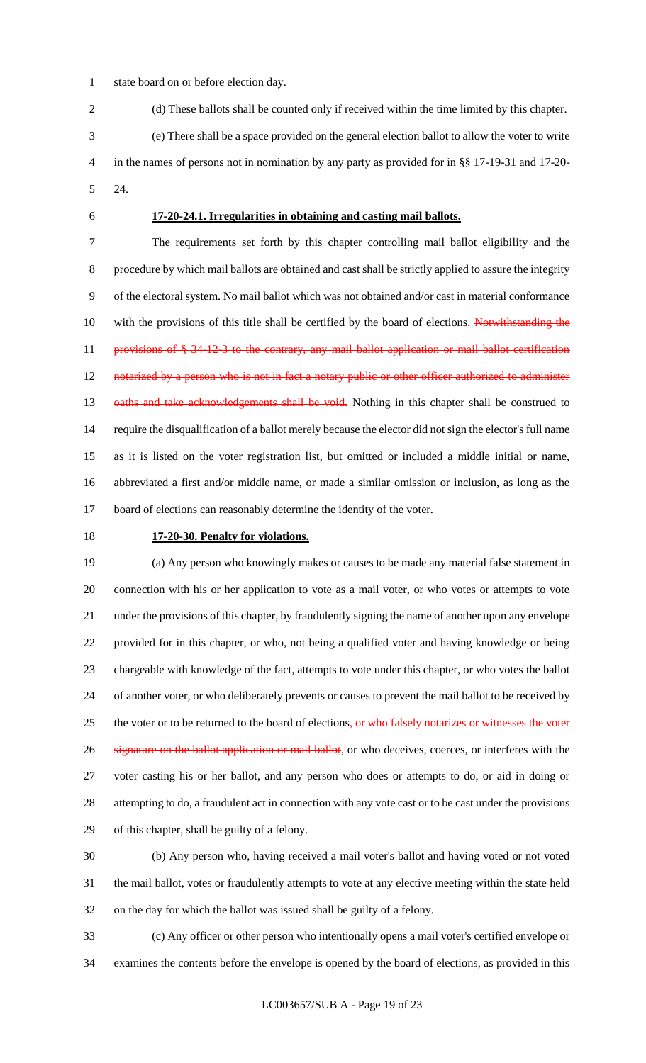state board on or before election day.

(d) These ballots shall be counted only if received within the time limited by this chapter.

 (e) There shall be a space provided on the general election ballot to allow the voter to write in the names of persons not in nomination by any party as provided for in §§ 17-19-31 and 17-20- 24.

# **17-20-24.1. Irregularities in obtaining and casting mail ballots.**

 The requirements set forth by this chapter controlling mail ballot eligibility and the procedure by which mail ballots are obtained and cast shall be strictly applied to assure the integrity of the electoral system. No mail ballot which was not obtained and/or cast in material conformance 10 with the provisions of this title shall be certified by the board of elections. Notwithstanding the 11 provisions of § 34-12-3 to the contrary, any mail ballot application or mail ballot certification 12 notarized by a person who is not in fact a notary public or other officer authorized to administer 13 oaths and take acknowledgements shall be void. Nothing in this chapter shall be construed to require the disqualification of a ballot merely because the elector did not sign the elector's full name as it is listed on the voter registration list, but omitted or included a middle initial or name, abbreviated a first and/or middle name, or made a similar omission or inclusion, as long as the board of elections can reasonably determine the identity of the voter.

# **17-20-30. Penalty for violations.**

 (a) Any person who knowingly makes or causes to be made any material false statement in connection with his or her application to vote as a mail voter, or who votes or attempts to vote under the provisions of this chapter, by fraudulently signing the name of another upon any envelope provided for in this chapter, or who, not being a qualified voter and having knowledge or being chargeable with knowledge of the fact, attempts to vote under this chapter, or who votes the ballot of another voter, or who deliberately prevents or causes to prevent the mail ballot to be received by 25 the voter or to be returned to the board of elections, or who falsely notarizes or witnesses the voter 26 signature on the ballot application or mail ballot, or who deceives, coerces, or interferes with the voter casting his or her ballot, and any person who does or attempts to do, or aid in doing or attempting to do, a fraudulent act in connection with any vote cast or to be cast under the provisions of this chapter, shall be guilty of a felony.

 (b) Any person who, having received a mail voter's ballot and having voted or not voted the mail ballot, votes or fraudulently attempts to vote at any elective meeting within the state held on the day for which the ballot was issued shall be guilty of a felony.

 (c) Any officer or other person who intentionally opens a mail voter's certified envelope or examines the contents before the envelope is opened by the board of elections, as provided in this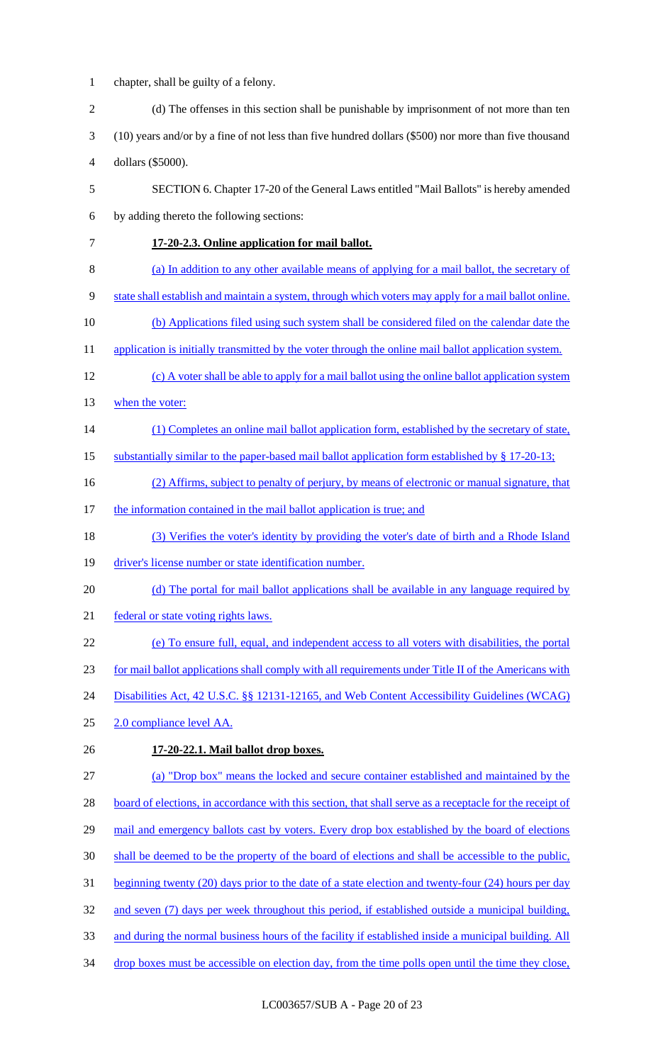- chapter, shall be guilty of a felony. 2 (d) The offenses in this section shall be punishable by imprisonment of not more than ten (10) years and/or by a fine of not less than five hundred dollars (\$500) nor more than five thousand dollars (\$5000). SECTION 6. Chapter 17-20 of the General Laws entitled "Mail Ballots" is hereby amended by adding thereto the following sections: **17-20-2.3. Online application for mail ballot.**  (a) In addition to any other available means of applying for a mail ballot, the secretary of state shall establish and maintain a system, through which voters may apply for a mail ballot online. (b) Applications filed using such system shall be considered filed on the calendar date the 11 application is initially transmitted by the voter through the online mail ballot application system. (c) A voter shall be able to apply for a mail ballot using the online ballot application system 13 when the voter: (1) Completes an online mail ballot application form, established by the secretary of state, substantially similar to the paper-based mail ballot application form established by § 17-20-13; (2) Affirms, subject to penalty of perjury, by means of electronic or manual signature, that 17 the information contained in the mail ballot application is true; and (3) Verifies the voter's identity by providing the voter's date of birth and a Rhode Island 19 driver's license number or state identification number. 20 (d) The portal for mail ballot applications shall be available in any language required by federal or state voting rights laws. (e) To ensure full, equal, and independent access to all voters with disabilities, the portal for mail ballot applications shall comply with all requirements under Title II of the Americans with Disabilities Act, 42 U.S.C. §§ 12131-12165, and Web Content Accessibility Guidelines (WCAG) 2.0 compliance level AA. **17-20-22.1. Mail ballot drop boxes.**  (a) "Drop box" means the locked and secure container established and maintained by the 28 board of elections, in accordance with this section, that shall serve as a receptacle for the receipt of 29 mail and emergency ballots cast by voters. Every drop box established by the board of elections shall be deemed to be the property of the board of elections and shall be accessible to the public, beginning twenty (20) days prior to the date of a state election and twenty-four (24) hours per day
- 32 and seven (7) days per week throughout this period, if established outside a municipal building,
- and during the normal business hours of the facility if established inside a municipal building. All
- 34 drop boxes must be accessible on election day, from the time polls open until the time they close,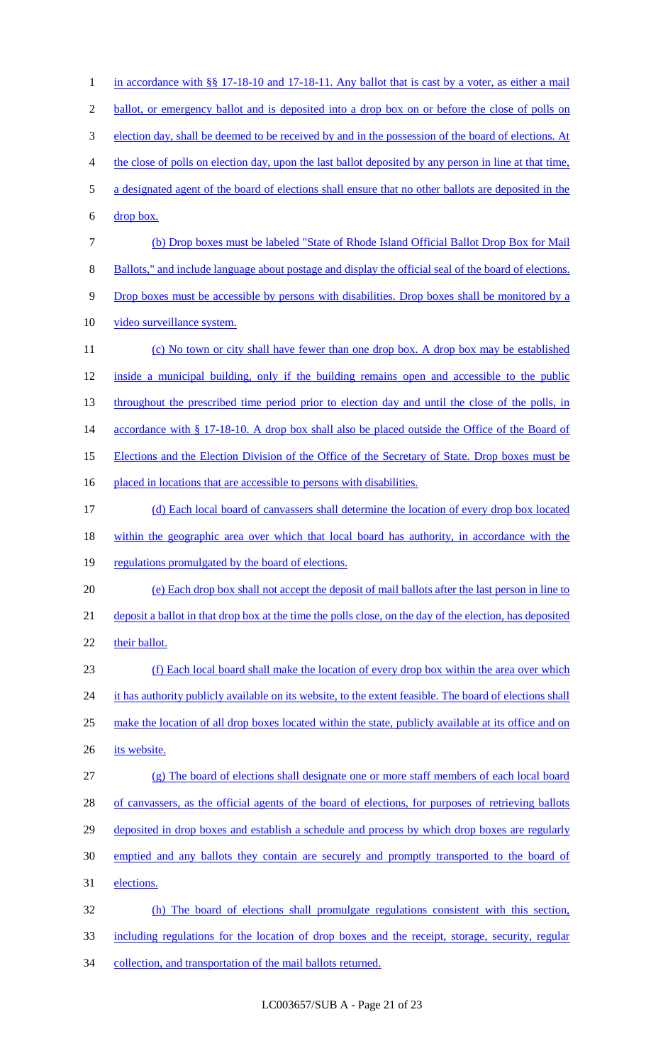1 in accordance with §§ 17-18-10 and 17-18-11. Any ballot that is cast by a voter, as either a mail 2 ballot, or emergency ballot and is deposited into a drop box on or before the close of polls on 3 election day, shall be deemed to be received by and in the possession of the board of elections. At 4 the close of polls on election day, upon the last ballot deposited by any person in line at that time, 5 a designated agent of the board of elections shall ensure that no other ballots are deposited in the 6 drop box. 7 (b) Drop boxes must be labeled "State of Rhode Island Official Ballot Drop Box for Mail 8 Ballots," and include language about postage and display the official seal of the board of elections. 9 Drop boxes must be accessible by persons with disabilities. Drop boxes shall be monitored by a 10 video surveillance system. 11 (c) No town or city shall have fewer than one drop box. A drop box may be established 12 inside a municipal building, only if the building remains open and accessible to the public 13 throughout the prescribed time period prior to election day and until the close of the polls, in 14 accordance with § 17-18-10. A drop box shall also be placed outside the Office of the Board of 15 Elections and the Election Division of the Office of the Secretary of State. Drop boxes must be 16 placed in locations that are accessible to persons with disabilities. 17 (d) Each local board of canvassers shall determine the location of every drop box located 18 within the geographic area over which that local board has authority, in accordance with the 19 regulations promulgated by the board of elections. 20 (e) Each drop box shall not accept the deposit of mail ballots after the last person in line to 21 deposit a ballot in that drop box at the time the polls close, on the day of the election, has deposited 22 their ballot. 23 (f) Each local board shall make the location of every drop box within the area over which 24 it has authority publicly available on its website, to the extent feasible. The board of elections shall 25 make the location of all drop boxes located within the state, publicly available at its office and on 26 its website. 27 (g) The board of elections shall designate one or more staff members of each local board 28 of canvassers, as the official agents of the board of elections, for purposes of retrieving ballots 29 deposited in drop boxes and establish a schedule and process by which drop boxes are regularly 30 emptied and any ballots they contain are securely and promptly transported to the board of 31 elections. 32 (h) The board of elections shall promulgate regulations consistent with this section, 33 including regulations for the location of drop boxes and the receipt, storage, security, regular 34 collection, and transportation of the mail ballots returned.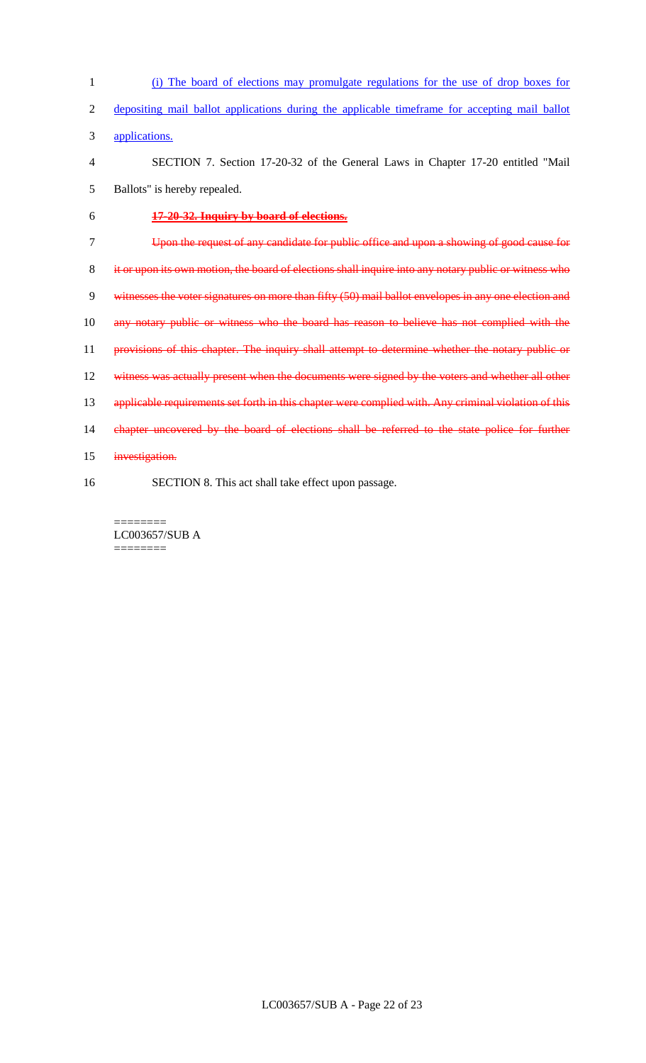(i) The board of elections may promulgate regulations for the use of drop boxes for depositing mail ballot applications during the applicable timeframe for accepting mail ballot applications. SECTION 7. Section 17-20-32 of the General Laws in Chapter 17-20 entitled "Mail Ballots" is hereby repealed. **17-20-32. Inquiry by board of elections.** Upon the request of any candidate for public office and upon a showing of good cause for it or upon its own motion, the board of elections shall inquire into any notary public or witness who witnesses the voter signatures on more than fifty (50) mail ballot envelopes in any one election and 10 any notary public or witness who the board has reason to believe has not complied with the 11 provisions of this chapter. The inquiry shall attempt to determine whether the notary public or 12 witness was actually present when the documents were signed by the voters and whether all other 13 applicable requirements set forth in this chapter were complied with. Any criminal violation of this 14 chapter uncovered by the board of elections shall be referred to the state police for further 15 investigation. SECTION 8. This act shall take effect upon passage.

======== LC003657/SUB A ========